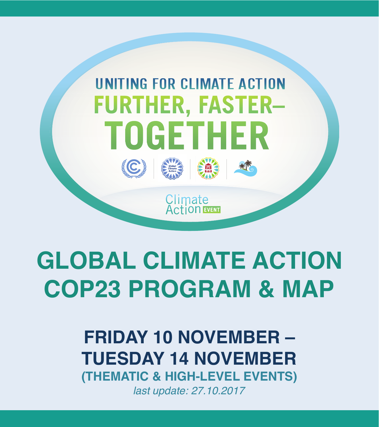

# **GLOBAL CLIMATE ACTION COP23 PROGRAM & MAP**

### **FRIDAY 10 NOVEMBER – TUESDAY 14 NOVEMBER (THEMATIC & HIGH-LEVEL EVENTS)** *last update: 27.10.2017*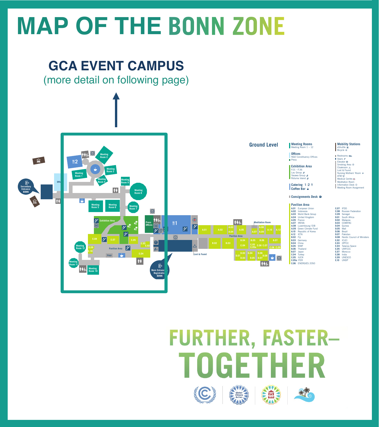# **MAP OF THE BONN ZONE**

#### **GCA EVENT CAMPUS**

**on** followin (more detail on following page)



#### **FURTHER, FASTER-**TOGETHER C 扁子  $* T$

icycle <sup>of</sup>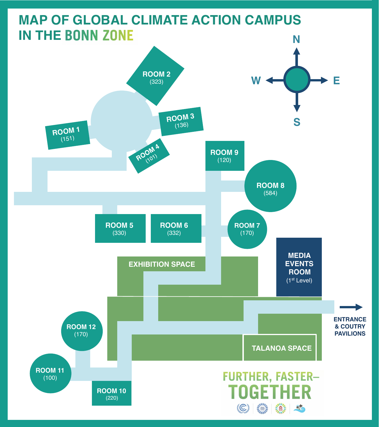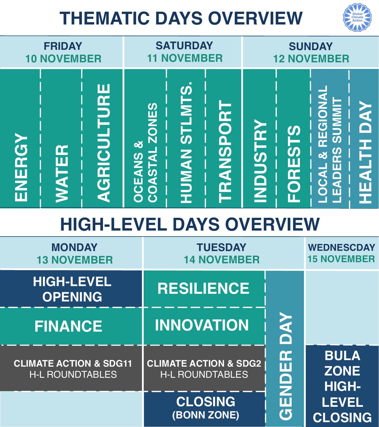# **THEMATIC DAYS OVERVIEW**



**CLIMATE ACTION & SDG2** H-L ROUNDTABLES

H-L ROUNDTABLES

**ZONE** 

**HIGH-**

**LEVEL**

**CLOSING**

**CLOSING (BONN ZONE)**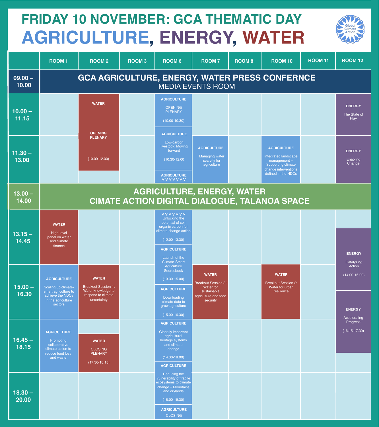## **FRIDAY 10 NOVEMBER: GCA THEMATIC DAY AGRICULTURE, ENERGY, WATER**



|                    | <b>ROOM1</b>                                                                                                           | <b>ROOM2</b>                                                                                          | <b>ROOM3</b> | <b>ROOM 6</b>                                                                                                                                                                           | <b>ROOM7</b>                                                                                               | <b>ROOM 8</b> | <b>ROOM 10</b>                                                                                                                           | <b>ROOM 11</b> | <b>ROOM 12</b>                                |  |
|--------------------|------------------------------------------------------------------------------------------------------------------------|-------------------------------------------------------------------------------------------------------|--------------|-----------------------------------------------------------------------------------------------------------------------------------------------------------------------------------------|------------------------------------------------------------------------------------------------------------|---------------|------------------------------------------------------------------------------------------------------------------------------------------|----------------|-----------------------------------------------|--|
| $09.00 -$<br>10.00 | <b>GCA AGRICULTURE, ENERGY, WATER PRESS CONFERNCE</b><br><b>MEDIA EVENTS ROOM</b>                                      |                                                                                                       |              |                                                                                                                                                                                         |                                                                                                            |               |                                                                                                                                          |                |                                               |  |
| $10.00 -$<br>11.15 |                                                                                                                        | <b>WATER</b><br><b>OPENING</b>                                                                        |              | <b>AGRICULTURE</b><br><b>OPENING</b><br><b>PLENARY</b><br>$(10.00 - 10.30)$<br><b>AGRICULTURE</b>                                                                                       |                                                                                                            |               |                                                                                                                                          |                | <b>ENERGY</b><br>The State of<br><b>Play</b>  |  |
| $11.30 -$<br>13.00 |                                                                                                                        | <b>PLENARY</b><br>$(10.00 - 12.00)$                                                                   |              | Low-carbon<br>livestock: Moving<br>forward<br>$(10.30 - 12.00)$<br><b>AGRICULTURE</b><br><b>VVVVVVV</b>                                                                                 | <b>AGRICULTURE</b><br><b>Managing water</b><br>scarcity for<br>agriculture                                 |               | <b>AGRICULTURE</b><br>Integrated landscape<br>$ranagement -$<br><b>Supporting climate</b><br>change interventions<br>defined in the NDCs |                | <b>ENERGY</b><br>Enabling<br>Change           |  |
| $13.00 -$<br>14.00 |                                                                                                                        |                                                                                                       |              |                                                                                                                                                                                         | <b>AGRICULTURE, ENERGY, WATER</b>                                                                          |               | <b>CIMATE ACTION DIGITAL DIALOGUE, TALANOA SPACE</b>                                                                                     |                |                                               |  |
| $13.15 -$<br>14.45 | <b>WATER</b><br>High-level<br>panel on water<br>and climate<br>finance                                                 |                                                                                                       |              | <b>VVVVVVV</b><br>Unlocking the<br>potential of soil<br>organic carbon for<br>climate change action<br>$(12.00 - 13.30)$<br><b>AGRICULTURE</b><br>Launch of the<br><b>Climate-Smart</b> |                                                                                                            |               |                                                                                                                                          |                | <b>ENERGY</b><br>Catalyzing                   |  |
| $15.00 -$<br>16.30 | <b>AGRICULTURE</b><br>Scaling up climate-<br>smart agriculture to<br>achieve the NDCs<br>in the agriculture<br>sectors | <b>WATER</b><br><b>Breakout Session 1:</b><br>Water knowledge to<br>respond to climate<br>uncertainty |              | Agriculture<br>Sourcebook<br>$(13.30 - 15.00)$<br><b>AGRICULTURE</b><br>Downloading<br>climate data to<br>grow agriculture<br>$(15.00 - 16.30)$                                         | <b>WATER</b><br><b>Breakout Session 3:</b><br>Water for<br>sustainable<br>agriculture and food<br>security |               | <b>WATER</b><br><b>Breakout Session 2:</b><br>Water for urban<br>resilience                                                              |                | Action<br>$(14.00 - 16.00)$<br><b>ENERGY</b>  |  |
| $16.45 -$<br>18.15 | <b>AGRICULTURE</b><br>Promoting<br>collaborative<br>climate action to<br>reduce food loss<br>and waste                 | <b>WATER</b><br><b>CLOSING</b><br><b>PLENARY</b><br>$(17.30 - 18.15)$                                 |              | <b>AGRICULTURE</b><br><b>Globally important</b><br>agricultural<br>heritage systems<br>and climate<br>change<br>$(14.30 - 18.00)$<br><b>AGRICULTURE</b>                                 |                                                                                                            |               |                                                                                                                                          |                | Accelerating<br>Progress<br>$(16.15 - 17.30)$ |  |
| $18.30 -$<br>20.00 |                                                                                                                        |                                                                                                       |              | Reducing the<br>vulnerability of fragile<br>ecosystems to climate<br>change - Mountains<br>and drylands<br>$(18.00 - 19.30)$<br><b>AGRICULTURE</b><br><b>CLOSING</b>                    |                                                                                                            |               |                                                                                                                                          |                |                                               |  |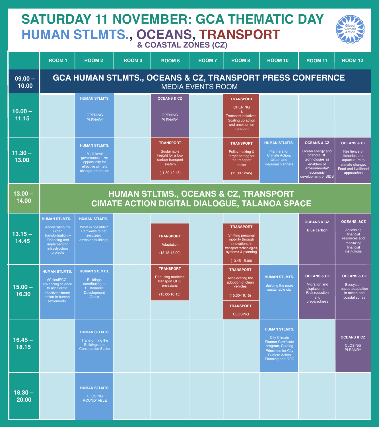#### **SATURDAY 11 NOVEMBER: GCA THEMATIC DAY HUMAN STLMTS., OCEANS, TRANSPORT & COASTAL ZONES (CZ)**



|                    | <b>ROOM1</b>                                                                                                                                | <b>ROOM2</b>                                                                                                        | <b>ROOM3</b> | <b>ROOM 6</b>                                                                                            | <b>ROOM7</b> | <b>ROOM 8</b>                                                                                                                                    | <b>ROOM 10</b>                                                                                                                                                           | <b>ROOM 11</b>                                                                                                                                   | <b>ROOM 12</b>                                                                                                                     |  |  |
|--------------------|---------------------------------------------------------------------------------------------------------------------------------------------|---------------------------------------------------------------------------------------------------------------------|--------------|----------------------------------------------------------------------------------------------------------|--------------|--------------------------------------------------------------------------------------------------------------------------------------------------|--------------------------------------------------------------------------------------------------------------------------------------------------------------------------|--------------------------------------------------------------------------------------------------------------------------------------------------|------------------------------------------------------------------------------------------------------------------------------------|--|--|
| $09.00 -$<br>10.00 | <b>GCA HUMAN STLMTS., OCEANS &amp; CZ, TRANSPORT PRESS CONFERNCE</b><br><b>MEDIA EVENTS ROOM</b>                                            |                                                                                                                     |              |                                                                                                          |              |                                                                                                                                                  |                                                                                                                                                                          |                                                                                                                                                  |                                                                                                                                    |  |  |
| $10.00 -$<br>11.15 |                                                                                                                                             | <b>HUMAN STLMTS.</b><br><b>OPENING</b><br><b>PLENARY</b>                                                            |              | <b>OCEANS &amp; CZ</b><br><b>OPENING</b><br><b>PLENARY</b>                                               |              | <b>TRANSPORT</b><br><b>OPENING</b><br>&<br><b>Transport initiatives:</b><br>Scaling up action<br>and ambition on<br>transport                    |                                                                                                                                                                          |                                                                                                                                                  |                                                                                                                                    |  |  |
| $11.30 -$<br>13.00 |                                                                                                                                             | <b>HUMAN STLMTS.</b><br>Multi-level<br>governance - An<br>opportunity for<br>effective climate<br>change adaptation |              | <b>TRANSPORT</b><br>Sustainable<br>Freight for a low-<br>carbon transport<br>system<br>$(11.30 - 12.45)$ |              | <b>TRANSPORT</b><br>Policy-making &<br>target-setting for<br>the transport<br>sector<br>$(11.30 - 12/45)$                                        | <b>HUMAN STLMTS.</b><br><b>Planners</b> for<br><b>Climate Action:</b><br>Urban and<br><b>Regional planners</b>                                                           | <b>OCEANS &amp; CZ</b><br>Ocean energy and<br>offshore RE<br>technologies as<br>enablers of<br>environmental/<br>economic<br>development of SIDS | <b>OCEANS &amp; CZ</b><br>Resilience of<br>fisheries and<br>aquaculture to<br>climate change:<br>Food and livelihood<br>approaches |  |  |
| $13.00 -$<br>14.00 | <b>HUMAN STLTMS., OCEANS &amp; CZ, TRANSPORT</b><br><b>CIMATE ACTION DIGITAL DIALOGUE, TALANOA SPACE</b>                                    |                                                                                                                     |              |                                                                                                          |              |                                                                                                                                                  |                                                                                                                                                                          |                                                                                                                                                  |                                                                                                                                    |  |  |
| $13.15 -$<br>14.45 | <b>HUMAN STLMTS.</b><br>Accelerating the<br>urban<br>transformation -<br>Financing and<br><i>implementing</i><br>infrastructure<br>projects | <b>HUMAN STLMTS.</b><br>What is possible?<br>Pathways to net<br>zero/zero<br>emission buildings                     |              | <b>TRANSPORT</b><br>Adaptation<br>$(13.45 - 15.00)$                                                      |              | <b>TRANSPORT</b><br>Shifting personal<br>mobility through<br>innovations in<br>transport technologies<br>systems & planning<br>$(13.45 - 15.00)$ |                                                                                                                                                                          | <b>OCEANS &amp; CZ</b><br><b>Blue carbon</b>                                                                                                     | <b>OCEANS &amp;CZ</b><br>Accessing<br>financial<br>resources and<br>mobilizing<br>financial<br>institutions                        |  |  |
| $15.00 -$<br>16.30 | <b>HUMAN STLMTS.</b><br>#CitiesIPCC:<br><b>Advancing science</b><br>to accelerate<br>effective climate<br>action in human<br>settlements.   | <b>HUMAN STLMTS.</b><br><b>Buildings</b><br>contributing to<br>Sustainable<br>Development<br>Goals                  |              | <b>TRANSPORT</b><br>Reducing maritime<br>transport GHG<br>emissions<br>$(15.00 - 16.15)$                 |              | <b>TRANSPORT</b><br>Accelerating the<br>adoption of clean<br>vehicles<br>$(15.30 - 16.15)$<br><b>TRANSPORT</b><br><b>CLOSING</b>                 | <b>HUMAN STLMTS.</b><br>Building the more<br>sustainable city                                                                                                            | <b>OCEANS &amp; CZ</b><br>Migration and<br>displacement:<br><b>Risk reduction</b><br>and<br>preparedness                                         | <b>OCEANS &amp; CZ</b><br>Ecosystem-<br>based adaptation<br>in ocean and<br>coastal zones                                          |  |  |
| $16.45 -$<br>18.15 |                                                                                                                                             | <b>HUMAN STLMTS.</b><br>Transforming the<br><b>Buildings and</b><br><b>Construction Sector</b>                      |              |                                                                                                          |              |                                                                                                                                                  | <b>HUMAN STLMTS.</b><br><b>City Climate</b><br><b>Planner Certificate</b><br>program, Guiding<br><b>Principles for City</b><br><b>Climate Action</b><br>Planning and GPC |                                                                                                                                                  | <b>OCEANS &amp; CZ</b><br><b>CLOSING</b><br><b>PLEANRY</b>                                                                         |  |  |
| $18.30 -$<br>20.00 |                                                                                                                                             | <b>HUMAN STLMTS.</b><br><b>CLOSING</b><br><b>ROUNDTABLE</b>                                                         |              |                                                                                                          |              |                                                                                                                                                  |                                                                                                                                                                          |                                                                                                                                                  |                                                                                                                                    |  |  |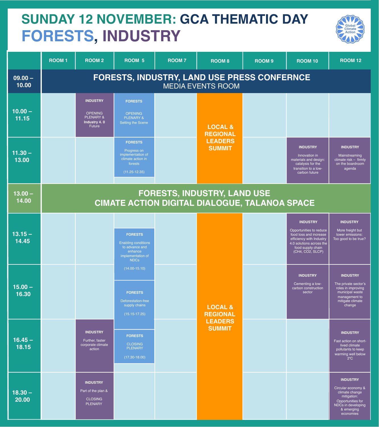#### **SUNDAY 12 NOVEMBER: GCA THEMATIC DAY FORESTS, INDUSTRY**



|                    | <b>ROOM1</b>                                                                               | <b>ROOM2</b>                                                              | ROOM 5                                                                                                        | <b>ROOM7</b> | <b>ROOM 8</b>                         | ROOM <sub>9</sub> | <b>ROOM 10</b>                                                                                                                                                        | <b>ROOM 12</b>                                                                                                                               |  |  |
|--------------------|--------------------------------------------------------------------------------------------|---------------------------------------------------------------------------|---------------------------------------------------------------------------------------------------------------|--------------|---------------------------------------|-------------------|-----------------------------------------------------------------------------------------------------------------------------------------------------------------------|----------------------------------------------------------------------------------------------------------------------------------------------|--|--|
| $09.00 -$<br>10.00 | <b>FORESTS, INDUSTRY, LAND USE PRESS CONFERNCE</b><br><b>MEDIA EVENTS ROOM</b>             |                                                                           |                                                                                                               |              |                                       |                   |                                                                                                                                                                       |                                                                                                                                              |  |  |
| $10.00 -$<br>11.15 |                                                                                            | <b>INDUSTRY</b><br><b>OPENING</b><br>PLENARY &<br>Industry 4.0<br>Future  | <b>FORESTS</b><br><b>OPENING</b><br><b>PLENARY &amp;</b><br>Setting the Scene                                 |              | <b>LOCAL &amp;</b><br><b>REGIONAL</b> |                   |                                                                                                                                                                       |                                                                                                                                              |  |  |
| $11.30 -$<br>13.00 |                                                                                            |                                                                           | <b>FORESTS</b><br>Progress on<br>implementation of<br>climate action in<br>forests<br>$(11.25 - 12.35)$       |              | <b>LEADERS</b><br><b>SUMMIT</b>       |                   | <b>INDUSTRY</b><br>Innovation in<br>materials and design:<br>catalysis for the<br>transition to a low-<br>carbon future                                               | <b>INDUSTRY</b><br>Mainstreaming<br>climate risk - firmly<br>on the boardroom<br>agenda                                                      |  |  |
| $13.00 -$<br>14.00 | <b>FORESTS, INDUSTRY, LAND USE</b><br><b>CIMATE ACTION DIGITAL DIALOGUE, TALANOA SPACE</b> |                                                                           |                                                                                                               |              |                                       |                   |                                                                                                                                                                       |                                                                                                                                              |  |  |
| $13.15 -$<br>14.45 |                                                                                            |                                                                           | <b>FORESTS</b><br><b>Enabling conditions</b><br>to advance and<br>enhance<br>implementation of<br><b>NDCs</b> |              |                                       |                   | <b>INDUSTRY</b><br>Opportunities to reduce<br>food loss and increase<br>efficiency with Industry<br>4.0 solutions across the<br>food supply chain<br>(CH4, CO2, SLCP) | <b>INDUSTRY</b><br>More freight but<br>lower emissions:<br>Too good to be true?                                                              |  |  |
| $15.00 -$<br>16.30 |                                                                                            |                                                                           | $(14.00 - 15.10)$<br><b>FORESTS</b><br>Deforestation-free<br>supply chains<br>$(15.15 - 17.25)$               |              | <b>LOCAL &amp;</b><br><b>REGIONAL</b> |                   | <b>INDUSTRY</b><br>Cementing a low-<br>carbon construction<br>sector                                                                                                  | <b>INDUSTRY</b><br>The private sector's<br>roles in improving<br>municipal waste<br>management to<br>mitigate climate<br>change              |  |  |
| $16.45 -$<br>18.15 |                                                                                            | <b>INDUSTRY</b><br>Further, faster<br>corporate climate<br>action         | <b>FORESTS</b><br><b>CLOSING</b><br><b>PLENARY</b><br>$(17.30 - 18.00)$                                       |              | <b>LEADERS</b><br><b>SUMMIT</b>       |                   |                                                                                                                                                                       | <b>INDUSTRY</b><br>Fast action on short-<br>lived climate<br>pollutants to keep<br>warming well below<br>$2^{\circ}$ C                       |  |  |
| $18.30 -$<br>20.00 |                                                                                            | <b>INDUSTRY</b><br>Part of the plan &<br><b>CLOSING</b><br><b>PLENARY</b> |                                                                                                               |              |                                       |                   |                                                                                                                                                                       | <b>INDUSTRY</b><br>Circular economy &<br>climate change<br>mitigation:<br>Opportunities for<br>NDCs in developing<br>& emerging<br>economies |  |  |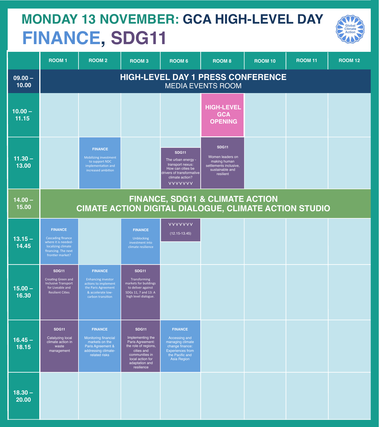### **MONDAY 13 NOVEMBER: GCA HIGH-LEVEL DAY FINANCE, SDG11**



|                    | <b>ROOM1</b>                                                                                                                | <b>ROOM2</b>                                                                                                                         | <b>ROOM3</b>                                                                                                                                                     | <b>ROOM 6</b>                                                                                                                                 | <b>ROOM 8</b>                                                                                              | <b>ROOM 10</b> | <b>ROOM 11</b> | <b>ROOM 12</b> |  |  |  |
|--------------------|-----------------------------------------------------------------------------------------------------------------------------|--------------------------------------------------------------------------------------------------------------------------------------|------------------------------------------------------------------------------------------------------------------------------------------------------------------|-----------------------------------------------------------------------------------------------------------------------------------------------|------------------------------------------------------------------------------------------------------------|----------------|----------------|----------------|--|--|--|
| $09.00 -$<br>10.00 | <b>HIGH-LEVEL DAY 1 PRESS CONFERENCE</b><br><b>MEDIA EVENTS ROOM</b>                                                        |                                                                                                                                      |                                                                                                                                                                  |                                                                                                                                               |                                                                                                            |                |                |                |  |  |  |
| $10.00 -$<br>11.15 |                                                                                                                             |                                                                                                                                      |                                                                                                                                                                  |                                                                                                                                               | <b>HIGH-LEVEL</b><br><b>GCA</b><br><b>OPENING</b>                                                          |                |                |                |  |  |  |
| $11.30 -$<br>13.00 |                                                                                                                             | <b>FINANCE</b><br>Mobilizing investment<br>to support NDC<br>implementation and<br>increased ambition                                |                                                                                                                                                                  | <b>SDG11</b><br>The urban energy -<br>transport nexus:<br>How can cities be<br>drivers of transformative<br>climate action?<br><b>VVVVVVV</b> | <b>SDG11</b><br>Women leaders on<br>making human<br>settlements inclusive,<br>sustainable and<br>resilient |                |                |                |  |  |  |
| $14.00 -$<br>15.00 |                                                                                                                             |                                                                                                                                      |                                                                                                                                                                  |                                                                                                                                               | <b>FINANCE, SDG11 &amp; CLIMATE ACTION</b><br><b>CIMATE ACTION DIGITAL DIALOGUE, CLIMATE ACTION STUDIO</b> |                |                |                |  |  |  |
| $13.15 -$<br>14.45 | <b>FINANCE</b><br>Cascading finance<br>where it is needed-<br>localizing climate<br>financing. The next<br>frontier market? |                                                                                                                                      | <b>FINANCE</b><br><b>Unblocking</b><br>investment into<br>climate resilience                                                                                     | <b>VVVVVVV</b><br>$(12.15 - 13.45)$                                                                                                           |                                                                                                            |                |                |                |  |  |  |
| $15.00 -$<br>16.30 | <b>SDG11</b><br>Creating Green and<br><b>Inclusive Transport</b><br>for Liveable and<br><b>Resilient Cities</b>             | <b>FINANCE</b><br><b>Enhancing investor</b><br>actions to implement<br>the Paris Agreement<br>& accelerate low-<br>carbon transition | <b>SDG11</b><br>Transforming<br>markets for buildings<br>to deliver against<br>SDGs 11, 7 and 13: A<br>high level dialogue.                                      |                                                                                                                                               |                                                                                                            |                |                |                |  |  |  |
| $16.45 -$<br>18.15 | <b>SDG11</b><br>Catalyzing local<br>climate action in<br>waste<br>management                                                | <b>FINANCE</b><br>Monitoring financial<br>markets on the<br>Paris Agreement &<br>addressing climate-<br>related risks                | <b>SDG11</b><br>Implementing the<br>Paris Agreement:<br>the role of regions,<br>cities and<br>communities in<br>local action for<br>adaptation and<br>resilience | <b>FINANCE</b><br>Accessing and<br>managing climate<br>change finance:<br><b>Experiences from</b><br>the Pacific and<br>Asia Region           |                                                                                                            |                |                |                |  |  |  |
| $18.30 -$<br>20.00 |                                                                                                                             |                                                                                                                                      |                                                                                                                                                                  |                                                                                                                                               |                                                                                                            |                |                |                |  |  |  |